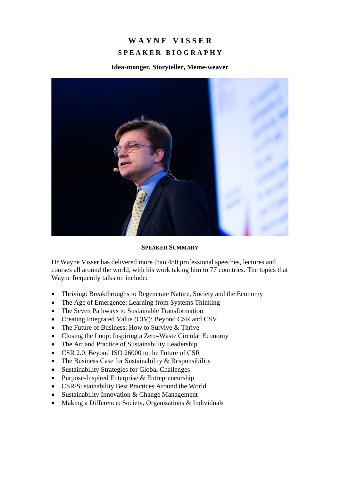# **W A Y N E V I S S E R S P E A K E R B I O G R A P H Y**

#### **Idea-monger, Storyteller, Meme-weaver**



**SPEAKER SUMMARY**

Dr Wayne Visser has delivered more than 480 professional speeches, lectures and courses all around the world, with his work taking him to 77 countries. The topics that Wayne frequently talks on include:

- Thriving: Breakthroughs to Regenerate Nature, Society and the Economy
- The Age of Emergence: Learning from Systems Thinking
- The Seven Pathways to Sustainable Transformation
- Creating Integrated Value (CIV): Beyond CSR and CSV
- The Future of Business: How to Survive & Thrive
- Closing the Loop: Inspiring a Zero-Waste Circular Economy
- The Art and Practice of Sustainability Leadership
- CSR 2.0: Beyond ISO 26000 to the Future of CSR
- The Business Case for Sustainability & Responsibility
- Sustainability Strategies for Global Challenges
- Purpose-Inspired Enterprise & Entrepreneurship
- CSR/Sustainability Best Practices Around the World
- Sustainability Innovation & Change Management
- Making a Difference: Society, Organisations & Individuals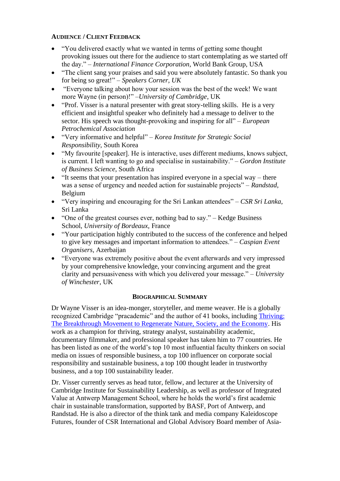### **AUDIENCE / CLIENT FEEDBACK**

- "You delivered exactly what we wanted in terms of getting some thought provoking issues out there for the audience to start contemplating as we started off the day." – *International Finance Corporation*, World Bank Group, USA
- "The client sang your praises and said you were absolutely fantastic. So thank you for being so great!" – *Speakers Corner, UK*
- "Everyone talking about how your session was the best of the week! We want more Wayne (in person)!" –*University of Cambridge*, UK
- "Prof. Visser is a natural presenter with great story-telling skills. He is a very efficient and insightful speaker who definitely had a message to deliver to the sector. His speech was thought-provoking and inspiring for all" – *European Petrochemical Association*
- "Very informative and helpful" *Korea Institute for Strategic Social Responsibility*, South Korea
- "My favourite [speaker]. He is interactive, uses different mediums, knows subject, is current. I left wanting to go and specialise in sustainability." – *Gordon Institute of Business Science*, South Africa
- "It seems that your presentation has inspired everyone in a special way there was a sense of urgency and needed action for sustainable projects" – *Randstad*, Belgium
- "Very inspiring and encouraging for the Sri Lankan attendees" *CSR Sri Lanka*, Sri Lanka
- "One of the greatest courses ever, nothing bad to say." Kedge Business School, *University of Bordeaux*, France
- "Your participation highly contributed to the success of the conference and helped to give key messages and important information to attendees." – *Caspian Event Organisers*, Azerbaijan
- "Everyone was extremely positive about the event afterwards and very impressed by your comprehensive knowledge, your convincing argument and the great clarity and persuasiveness with which you delivered your message." – *University of Winchester*, UK

## **BIOGRAPHICAL SUMMARY**

Dr Wayne Visser is an idea-monger, storyteller, and meme weaver. He is a globally recognized Cambridge "pracademic" and the author of 41 books, including [Thriving:](https://www.amazon.com/Thriving-Breakthrough-Movement-Regenerate-Society/dp/1639080074/)  [The Breakthrough Movement to Regenerate Nature, Society, and the Economy.](https://www.amazon.com/Thriving-Breakthrough-Movement-Regenerate-Society/dp/1639080074/) His work as a champion for thriving, strategy analyst, sustainability academic, documentary filmmaker, and professional speaker has taken him to 77 countries. He has been listed as one of the world's top 10 most influential faculty thinkers on social media on issues of responsible business, a top 100 influencer on corporate social responsibility and sustainable business, a top 100 thought leader in trustworthy business, and a top 100 sustainability leader.

Dr. Visser currently serves as head tutor, fellow, and lecturer at the University of Cambridge Institute for Sustainability Leadership, as well as professor of Integrated Value at Antwerp Management School, where he holds the world's first academic chair in sustainable transformation, supported by BASF, Port of Antwerp, and Randstad. He is also a director of the think tank and media company Kaleidoscope Futures, founder of CSR International and Global Advisory Board member of Asia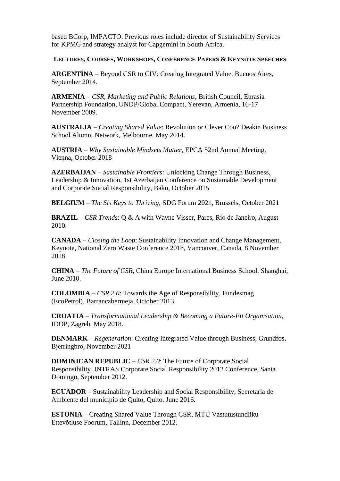based BCorp, IMPACTO. Previous roles include director of Sustainability Services for KPMG and strategy analyst for Capgemini in South Africa.

### **LECTURES, COURSES, WORKSHOPS, CONFERENCE PAPERS & KEYNOTE SPEECHES**

**ARGENTINA** – Beyond CSR to CIV: Creating Integrated Value, Buenos Aires, September 2014.

**ARMENIA** – *CSR, Marketing and Public Relations*, British Council, Eurasia Partnership Foundation, UNDP/Global Compact, Yerevan, Armenia, 16-17 November 2009.

**AUSTRALIA** – *Creating Shared Value*: Revolution or Clever Con? Deakin Business School Alumni Network, Melbourne, May 2014.

**AUSTRIA** – *Why Sustainable Mindsets Matter*, EPCA 52nd Annual Meeting, Vienna, October 2018

**AZERBAIJAN** – *Sustainable Frontiers*: Unlocking Change Through Business, Leadership & Innovation, 1st Azerbaijan Conference on Sustainable Development and Corporate Social Responsibility, Baku, October 2015

**BELGIUM** – *The Six Keys to Thriving*, SDG Forum 2021, Brussels, October 2021

**BRAZIL** – *CSR Trends*: Q & A with Wayne Visser, Pares, Rio de Janeiro, August 2010.

**CANADA** – *Closing the Loop*: Sustainability Innovation and Change Management, Keynote, National Zero Waste Conference 2018, Vancouver, Canada, 8 November 2018

**CHINA** – *The Future of CSR*, China Europe International Business School, Shanghai, June 2010.

**COLOMBIA** – *CSR 2.0*: Towards the Age of Responsibility, Fundesmag (EcoPetrol), Barrancabermeja, October 2013.

**CROATIA** – *Transformational Leadership & Becoming a Future-Fit Organisation*, IDOP, Zagreb, May 2018.

**DENMARK** – *Regeneration*: Creating Integrated Value through Business, Grundfos, Bjerringbro, November 2021

**DOMINICAN REPUBLIC** – *CSR 2.0*: The Future of Corporate Social Responsibility, INTRAS Corporate Social Responsibility 2012 Conference, Santa Domingo, September 2012.

**ECUADOR** – Sustainability Leadership and Social Responsibility, Secretaria de Ambiente del municipio de Quito, Quito, June 2016.

**ESTONIA** – Creating Shared Value Through CSR, MTÜ Vastutustundliku Ettevõtluse Foorum, Tallinn, December 2012.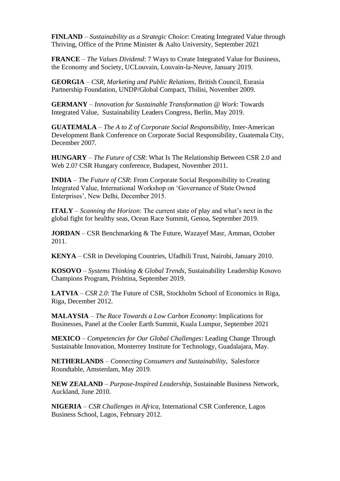**FINLAND** – *Sustainability as a Strategic Choice*: Creating Integrated Value through Thriving, Office of the Prime Minister & Aalto University, September 2021

**FRANCE** – *The Values Dividend*: 7 Ways to Create Integrated Value for Business, the Economy and Society, UCLouvain, Louvain-la-Neuve, January 2019.

**GEORGIA** – *CSR, Marketing and Public Relations*, British Council, Eurasia Partnership Foundation, UNDP/Global Compact, Tbilisi, November 2009.

**GERMANY** – *Innovation for Sustainable Transformation @ Work*: Towards Integrated Value, Sustainability Leaders Congress, Berlin, May 2019.

**GUATEMALA** – *The A to Z of Corporate Social Responsibility*, Inter-American Development Bank Conference on Corporate Social Responsibility, Guatemala City, December 2007.

**HUNGARY** – *The Future of CSR*: What Is The Relationship Between CSR 2.0 and Web 2.0? CSR Hungary conference, Budapest, November 2011.

**INDIA** – *The Future of CSR*: From Corporate Social Responsibility to Creating Integrated Value, International Workshop on 'Governance of State Owned Enterprises', New Delhi, December 2015.

**ITALY** – *Scanning the Horizon*: The current state of play and what's next in the global fight for healthy seas, Ocean Race Summit, Genoa, September 2019.

**JORDAN** – CSR Benchmarking & The Future, Wazayef Masr, Amman, October 2011.

**KENYA** – CSR in Developing Countries, Ufadhili Trust, Nairobi, January 2010.

**KOSOVO** – *Systems Thinking & Global Trends*, Sustainability Leadership Kosovo Champions Program, Prishtina, September 2019.

**LATVIA** – *CSR 2.0*: The Future of CSR, Stockholm School of Economics in Riga, Riga, December 2012.

**MALAYSIA** – *The Race Towards a Low Carbon Economy*: Implications for Businesses, Panel at the Cooler Earth Summit, Kuala Lumpur, September 2021

**MEXICO** – *Competencies for Our Global Challenges*: Leading Change Through Sustainable Innovation, Monterrey Institute for Technology, Guadalajara, May.

**NETHERLANDS** – *Connecting Consumers and Sustainability*, Salesforce Roundtable, Amsterdam, May 2019.

**NEW ZEALAND** – *Purpose-Inspired Leadership*, Sustainable Business Network, Auckland, June 2010.

**NIGERIA** – *CSR Challenges in Africa*, International CSR Conference, Lagos Business School, Lagos, February 2012.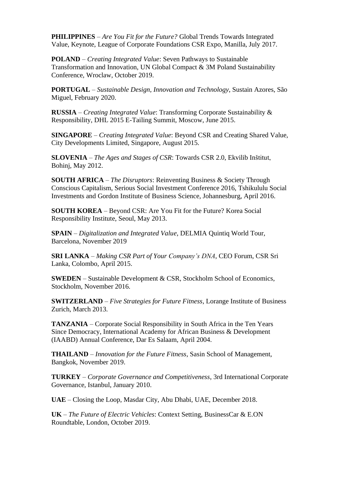**PHILIPPINES** – *Are You Fit for the Future?* Global Trends Towards Integrated Value, Keynote, League of Corporate Foundations CSR Expo, Manilla, July 2017.

**POLAND** – *Creating Integrated Value*: Seven Pathways to Sustainable Transformation and Innovation, UN Global Compact & 3M Poland Sustainability Conference, Wroclaw, October 2019.

**PORTUGAL** – *Sustainable Design, Innovation and Technology*, Sustain Azores, São Miguel, February 2020.

**RUSSIA** – *Creating Integrated Value*: Transforming Corporate Sustainability & Responsibility, DHL 2015 E-Tailing Summit, Moscow, June 2015.

**SINGAPORE** – *Creating Integrated Value*: Beyond CSR and Creating Shared Value, City Developments Limited, Singapore, August 2015.

**SLOVENIA** – *The Ages and Stages of CSR*: Towards CSR 2.0, Ekvilib Inštitut, Bohinj, May 2012.

**SOUTH AFRICA** – *The Disruptors*: Reinventing Business & Society Through Conscious Capitalism, Serious Social Investment Conference 2016, Tshikululu Social Investments and Gordon Institute of Business Science, Johannesburg, April 2016.

**SOUTH KOREA** – Beyond CSR: Are You Fit for the Future? Korea Social Responsibility Institute, Seoul, May 2013.

**SPAIN** – *Digitalization and Integrated Value*, DELMIA Quintiq World Tour, Barcelona, November 2019

**SRI LANKA** – *Making CSR Part of Your Company's DNA*, CEO Forum, CSR Sri Lanka, Colombo, April 2015.

**SWEDEN** – Sustainable Development & CSR, Stockholm School of Economics, Stockholm, November 2016.

**SWITZERLAND** – *Five Strategies for Future Fitness*, Lorange Institute of Business Zurich, March 2013.

**TANZANIA** – Corporate Social Responsibility in South Africa in the Ten Years Since Democracy, International Academy for African Business & Development (IAABD) Annual Conference, Dar Es Salaam, April 2004.

**THAILAND** – *Innovation for the Future Fitness*, Sasin School of Management, Bangkok, November 2019.

**TURKEY** – *Corporate Governance and Competitiveness*, 3rd International Corporate Governance, Istanbul, January 2010.

**UAE** – Closing the Loop, Masdar City, Abu Dhabi, UAE, December 2018.

**UK** – *The Future of Electric Vehicles*: Context Setting, BusinessCar & E.ON Roundtable, London, October 2019.